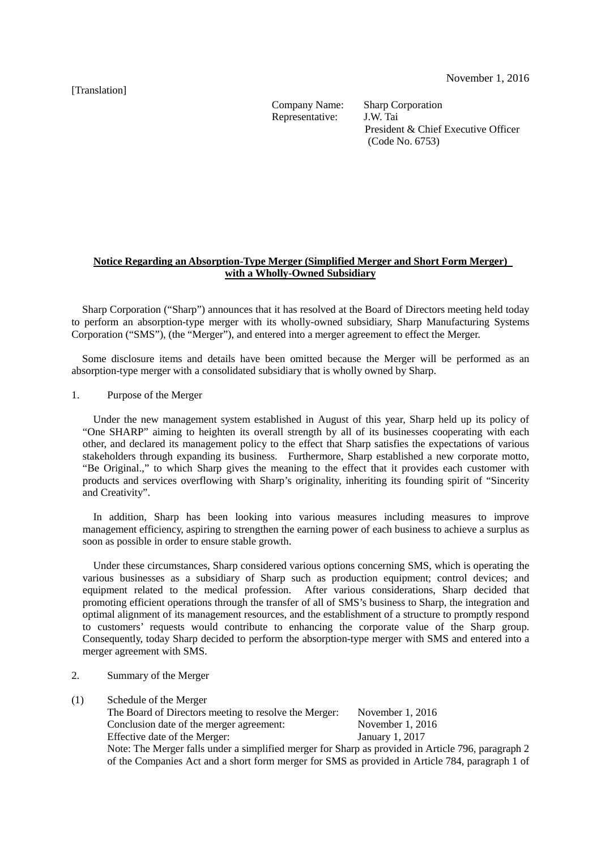## [Translation]

Representative:

Company Name: Sharp Corporation<br>Representative: J.W. Tai President & Chief Executive Officer (Code No. 6753)

## **Notice Regarding an Absorption-Type Merger (Simplified Merger and Short Form Merger) with a Wholly-Owned Subsidiary**

Sharp Corporation ("Sharp") announces that it has resolved at the Board of Directors meeting held today to perform an absorption-type merger with its wholly-owned subsidiary, Sharp Manufacturing Systems Corporation ("SMS"), (the "Merger"), and entered into a merger agreement to effect the Merger.

Some disclosure items and details have been omitted because the Merger will be performed as an absorption-type merger with a consolidated subsidiary that is wholly owned by Sharp.

1. Purpose of the Merger

Under the new management system established in August of this year, Sharp held up its policy of "One SHARP" aiming to heighten its overall strength by all of its businesses cooperating with each other, and declared its management policy to the effect that Sharp satisfies the expectations of various stakeholders through expanding its business. Furthermore, Sharp established a new corporate motto, "Be Original.," to which Sharp gives the meaning to the effect that it provides each customer with products and services overflowing with Sharp's originality, inheriting its founding spirit of "Sincerity and Creativity".

In addition, Sharp has been looking into various measures including measures to improve management efficiency, aspiring to strengthen the earning power of each business to achieve a surplus as soon as possible in order to ensure stable growth.

Under these circumstances, Sharp considered various options concerning SMS, which is operating the various businesses as a subsidiary of Sharp such as production equipment; control devices; and equipment related to the medical profession. After various considerations, Sharp decided that promoting efficient operations through the transfer of all of SMS's business to Sharp, the integration and optimal alignment of its management resources, and the establishment of a structure to promptly respond to customers' requests would contribute to enhancing the corporate value of the Sharp group. Consequently, today Sharp decided to perform the absorption-type merger with SMS and entered into a merger agreement with SMS.

- 2. Summary of the Merger
- (1) Schedule of the Merger

| The Board of Directors meeting to resolve the Merger:                                              | November $1, 2016$ |
|----------------------------------------------------------------------------------------------------|--------------------|
| Conclusion date of the merger agreement:                                                           | November $1, 2016$ |
| Effective date of the Merger:                                                                      | January 1, 2017    |
| Note: The Merger falls under a simplified merger for Sharp as provided in Article 796, paragraph 2 |                    |
| of the Companies Act and a short form merger for SMS as provided in Article 784, paragraph 1 of    |                    |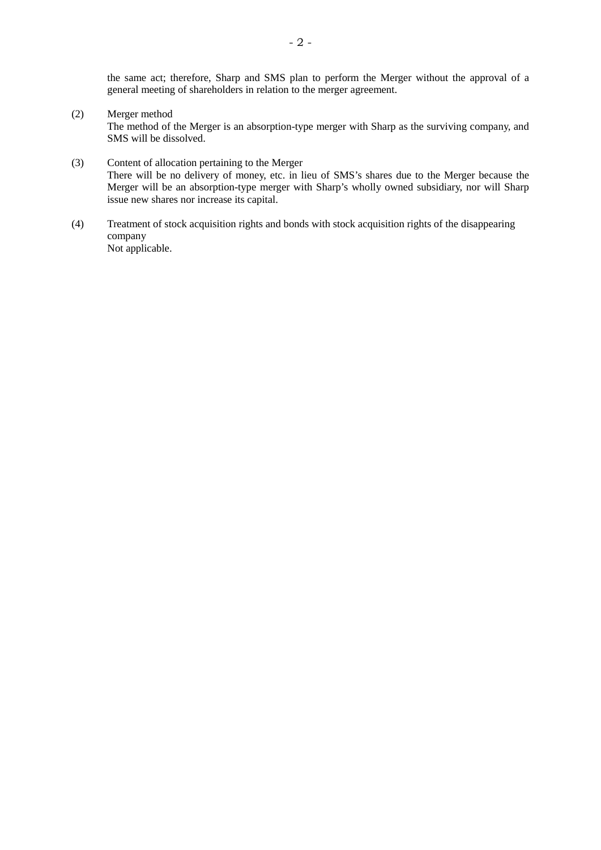the same act; therefore, Sharp and SMS plan to perform the Merger without the approval of a general meeting of shareholders in relation to the merger agreement.

(2) Merger method

The method of the Merger is an absorption-type merger with Sharp as the surviving company, and SMS will be dissolved.

- (3) Content of allocation pertaining to the Merger There will be no delivery of money, etc. in lieu of SMS's shares due to the Merger because the Merger will be an absorption-type merger with Sharp's wholly owned subsidiary, nor will Sharp issue new shares nor increase its capital.
- (4) Treatment of stock acquisition rights and bonds with stock acquisition rights of the disappearing company Not applicable.